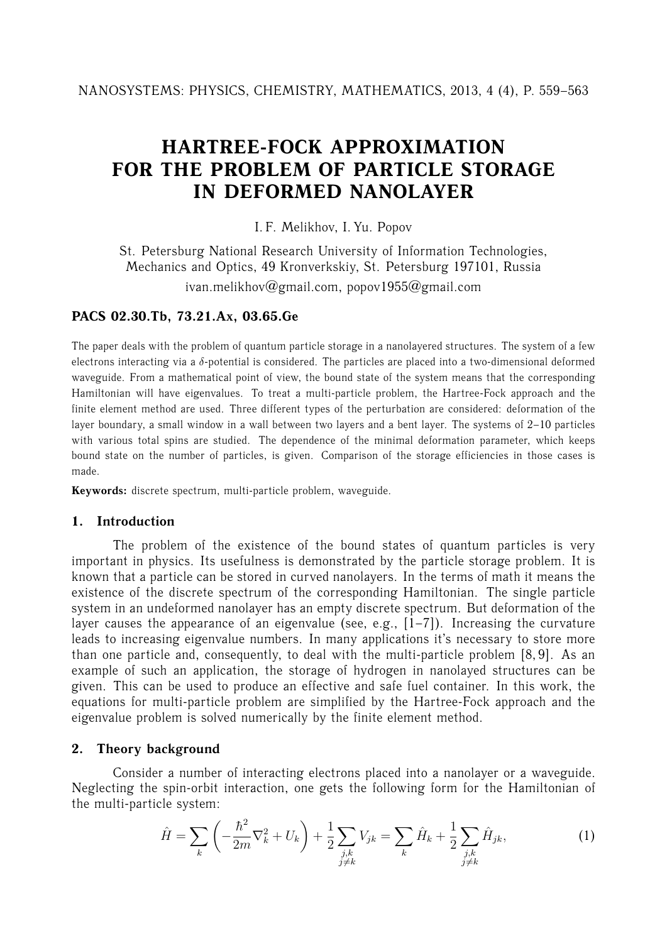# **HARTREE-FOCK APPROXIMATION FOR THE PROBLEM OF PARTICLE STORAGE IN DEFORMED NANOLAYER**

I. F. Melikhov, I. Yu. Popov

St. Petersburg National Research University of Information Technologies, Mechanics and Optics, 49 Kronverkskiy, St. Petersburg 197101, Russia ivan.melikhov@gmail.com, popov1955@gmail.com

## **PACS 02.30.Tb, 73.21.Ax, 03.65.Ge**

The paper deals with the problem of quantum particle storage in a nanolayered structures. The system of a few electrons interacting via a δ-potential is considered. The particles are placed into a two-dimensional deformed waveguide. From a mathematical point of view, the bound state of the system means that the corresponding Hamiltonian will have eigenvalues. To treat a multi-particle problem, the Hartree-Fock approach and the finite element method are used. Three different types of the perturbation are considered: deformation of the layer boundary, a small window in a wall between two layers and a bent layer. The systems of 2–10 particles with various total spins are studied. The dependence of the minimal deformation parameter, which keeps bound state on the number of particles, is given. Comparison of the storage efficiencies in those cases is made.

**Keywords:** discrete spectrum, multi-particle problem, waveguide.

## **1. Introduction**

The problem of the existence of the bound states of quantum particles is very important in physics. Its usefulness is demonstrated by the particle storage problem. It is known that a particle can be stored in curved nanolayers. In the terms of math it means the existence of the discrete spectrum of the corresponding Hamiltonian. The single particle system in an undeformed nanolayer has an empty discrete spectrum. But deformation of the layer causes the appearance of an eigenvalue (see, e.g.,  $[1-7]$ ). Increasing the curvature leads to increasing eigenvalue numbers. In many applications it's necessary to store more than one particle and, consequently, to deal with the multi-particle problem [8, 9]. As an example of such an application, the storage of hydrogen in nanolayed structures can be given. This can be used to produce an effective and safe fuel container. In this work, the equations for multi-particle problem are simplified by the Hartree-Fock approach and the eigenvalue problem is solved numerically by the finite element method.

## **2. Theory background**

Consider a number of interacting electrons placed into a nanolayer or a waveguide. Neglecting the spin-orbit interaction, one gets the following form for the Hamiltonian of the multi-particle system:

$$
\hat{H} = \sum_{k} \left( -\frac{\hbar^2}{2m} \nabla_k^2 + U_k \right) + \frac{1}{2} \sum_{\substack{j,k \ j \neq k}} V_{jk} = \sum_{k} \hat{H}_k + \frac{1}{2} \sum_{\substack{j,k \ j \neq k}} \hat{H}_{jk},\tag{1}
$$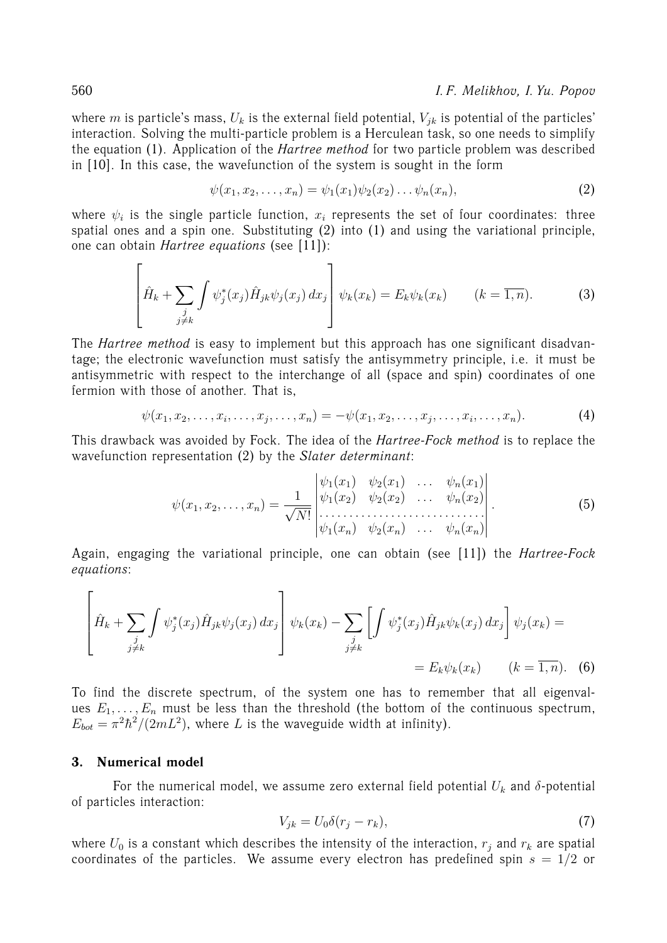where m is particle's mass,  $U_k$  is the external field potential,  $V_{ik}$  is potential of the particles' interaction. Solving the multi-particle problem is a Herculean task, so one needs to simplify the equation (1). Application of the *Hartree method* for two particle problem was described in [10]. In this case, the wavefunction of the system is sought in the form

$$
\psi(x_1, x_2, \dots, x_n) = \psi_1(x_1)\psi_2(x_2)\dots\psi_n(x_n), \tag{2}
$$

where  $\psi_i$  is the single particle function,  $x_i$  represents the set of four coordinates: three spatial ones and a spin one. Substituting (2) into (1) and using the variational principle, one can obtain *Hartree equations* (see [11]):

$$
\left[\hat{H}_k + \sum_{\substack{j\\j \neq k}} \int \psi_j^*(x_j) \hat{H}_{jk} \psi_j(x_j) dx_j \right] \psi_k(x_k) = E_k \psi_k(x_k) \qquad (k = \overline{1, n}). \tag{3}
$$

The *Hartree method* is easy to implement but this approach has one significant disadvantage; the electronic wavefunction must satisfy the antisymmetry principle, i.e. it must be antisymmetric with respect to the interchange of all (space and spin) coordinates of one fermion with those of another. That is,

$$
\psi(x_1, x_2, \dots, x_i, \dots, x_j, \dots, x_n) = -\psi(x_1, x_2, \dots, x_j, \dots, x_i, \dots, x_n). \tag{4}
$$

This drawback was avoided by Fock. The idea of the *Hartree-Fock method* is to replace the wavefunction representation (2) by the *Slater determinant*:

$$
\psi(x_1, x_2, \dots, x_n) = \frac{1}{\sqrt{N!}} \begin{vmatrix} \psi_1(x_1) & \psi_2(x_1) & \dots & \psi_n(x_1) \\ \psi_1(x_2) & \psi_2(x_2) & \dots & \psi_n(x_2) \\ \dots & \dots & \dots & \dots \\ \psi_1(x_n) & \psi_2(x_n) & \dots & \psi_n(x_n) \end{vmatrix} . \tag{5}
$$

Again, engaging the variational principle, one can obtain (see [11]) the *Hartree-Fock equations*:

$$
\left[\hat{H}_k + \sum_{\substack{j\\j\neq k}} \int \psi_j^*(x_j) \hat{H}_{jk} \psi_j(x_j) dx_j \right] \psi_k(x_k) - \sum_{\substack{j\\j\neq k}} \left[ \int \psi_j^*(x_j) \hat{H}_{jk} \psi_k(x_j) dx_j \right] \psi_j(x_k) =
$$
  
=  $E_k \psi_k(x_k)$   $(k = \overline{1, n}).$  (6)

To find the discrete spectrum, of the system one has to remember that all eigenvalues  $E_1, \ldots, E_n$  must be less than the threshold (the bottom of the continuous spectrum,  $E_{bot} = \pi^2 \hbar^2 / (2mL^2)$ , where L is the waveguide width at infinity).

#### **3. Numerical model**

For the numerical model, we assume zero external field potential  $U_k$  and  $\delta$ -potential of particles interaction:

$$
V_{jk} = U_0 \delta(r_j - r_k),\tag{7}
$$

where  $U_0$  is a constant which describes the intensity of the interaction,  $r_i$  and  $r_k$  are spatial coordinates of the particles. We assume every electron has predefined spin  $s = 1/2$  or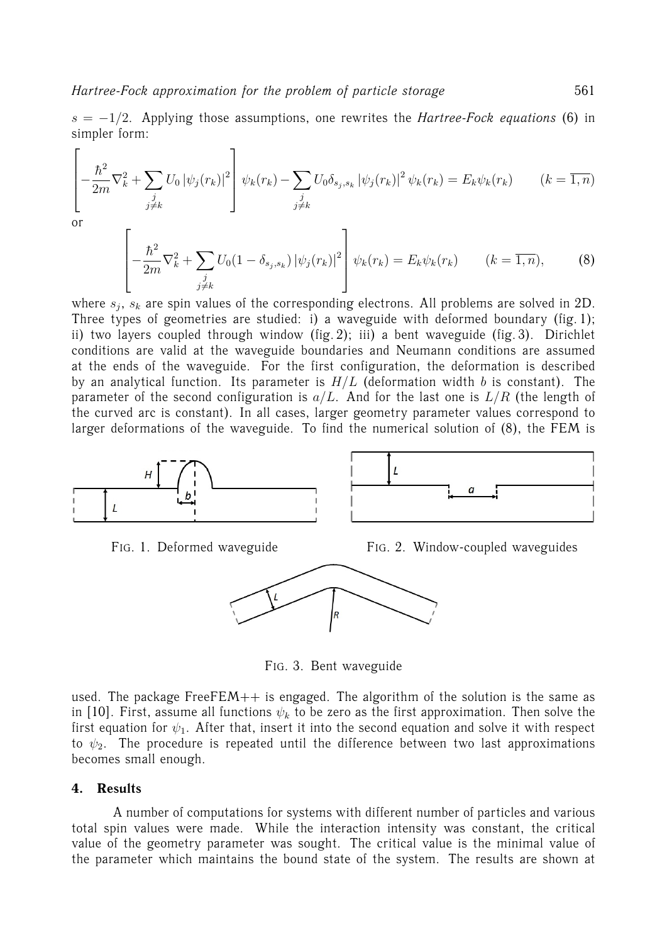$s = -1/2$ . Applying those assumptions, one rewrites the *Hartree-Fock equations* (6) in simpler form:

$$
\left[ -\frac{\hbar^2}{2m} \nabla_k^2 + \sum_{\substack{j\\j\neq k}} U_0 |\psi_j(r_k)|^2 \right] \psi_k(r_k) - \sum_{\substack{j\\j\neq k}} U_0 \delta_{s_j, s_k} |\psi_j(r_k)|^2 \psi_k(r_k) = E_k \psi_k(r_k) \qquad (k = \overline{1, n})
$$

or

 $\overline{a}$ 

$$
\left[ -\frac{\hbar^2}{2m} \nabla_k^2 + \sum_{\substack{j\\j \neq k}} U_0 (1 - \delta_{s_j, s_k}) |\psi_j(r_k)|^2 \right] \psi_k(r_k) = E_k \psi_k(r_k) \qquad (k = \overline{1, n}), \tag{8}
$$

where  $s_j$ ,  $s_k$  are spin values of the corresponding electrons. All problems are solved in 2D. Three types of geometries are studied: i) a waveguide with deformed boundary (fig. 1); ii) two layers coupled through window (fig. 2); iii) a bent waveguide (fig. 3). Dirichlet conditions are valid at the waveguide boundaries and Neumann conditions are assumed at the ends of the waveguide. For the first configuration, the deformation is described by an analytical function. Its parameter is  $H/L$  (deformation width b is constant). The parameter of the second configuration is  $a/L$ . And for the last one is  $L/R$  (the length of the curved arc is constant). In all cases, larger geometry parameter values correspond to larger deformations of the waveguide. To find the numerical solution of (8), the FEM is





FIG. 3. Bent waveguide

used. The package Free $FEM++$  is engaged. The algorithm of the solution is the same as in [10]. First, assume all functions  $\psi_k$  to be zero as the first approximation. Then solve the first equation for  $\psi_1$ . After that, insert it into the second equation and solve it with respect to  $\psi_2$ . The procedure is repeated until the difference between two last approximations becomes small enough.

## **4. Results**

A number of computations for systems with different number of particles and various total spin values were made. While the interaction intensity was constant, the critical value of the geometry parameter was sought. The critical value is the minimal value of the parameter which maintains the bound state of the system. The results are shown at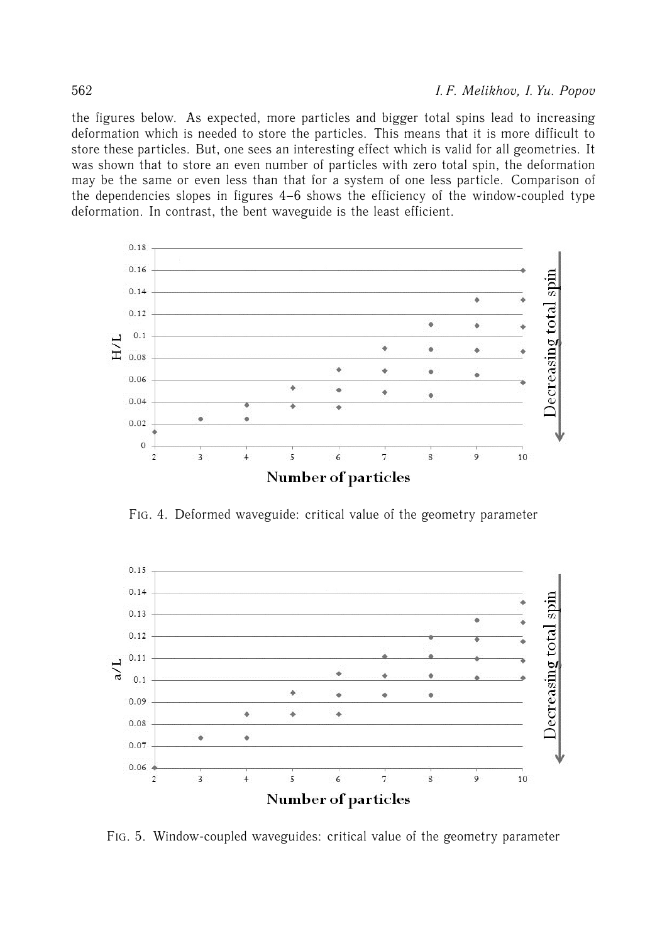the figures below. As expected, more particles and bigger total spins lead to increasing deformation which is needed to store the particles. This means that it is more difficult to store these particles. But, one sees an interesting effect which is valid for all geometries. It was shown that to store an even number of particles with zero total spin, the deformation may be the same or even less than that for a system of one less particle. Comparison of the dependencies slopes in figures 4–6 shows the efficiency of the window-coupled type deformation. In contrast, the bent waveguide is the least efficient.



FIG. 4. Deformed waveguide: critical value of the geometry parameter



FIG. 5. Window-coupled waveguides: critical value of the geometry parameter